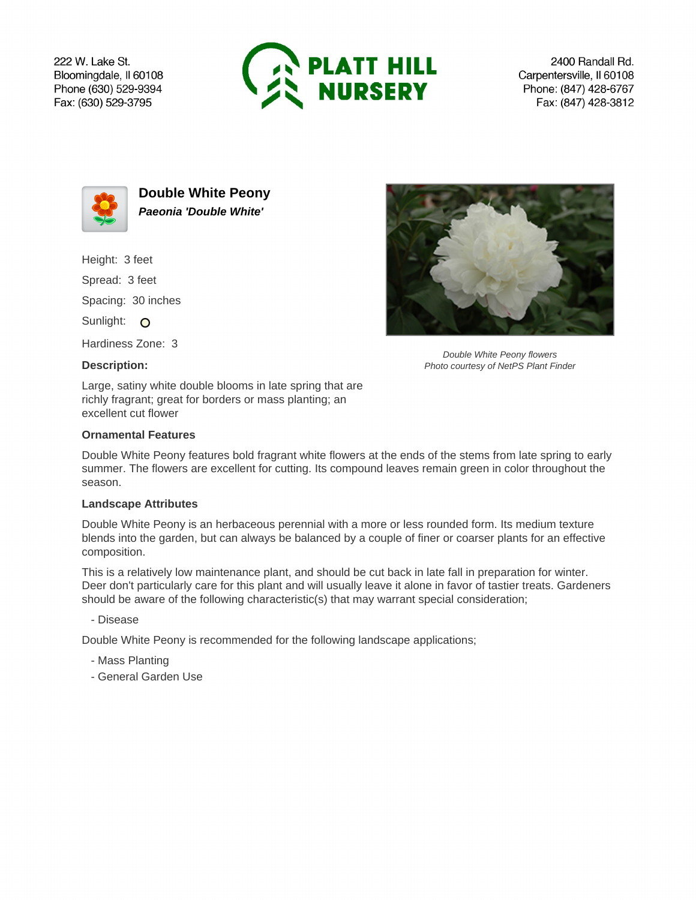222 W. Lake St. Bloomingdale, Il 60108 Phone (630) 529-9394 Fax: (630) 529-3795



2400 Randall Rd. Carpentersville, Il 60108 Phone: (847) 428-6767 Fax: (847) 428-3812



**Double White Peony Paeonia 'Double White'**

Height: 3 feet

Spread: 3 feet

Spacing: 30 inches

Sunlight: O

Hardiness Zone: 3

# **Description:**

Large, satiny white double blooms in late spring that are richly fragrant; great for borders or mass planting; an excellent cut flower

### **Ornamental Features**

Double White Peony features bold fragrant white flowers at the ends of the stems from late spring to early summer. The flowers are excellent for cutting. Its compound leaves remain green in color throughout the season.

#### **Landscape Attributes**

Double White Peony is an herbaceous perennial with a more or less rounded form. Its medium texture blends into the garden, but can always be balanced by a couple of finer or coarser plants for an effective composition.

This is a relatively low maintenance plant, and should be cut back in late fall in preparation for winter. Deer don't particularly care for this plant and will usually leave it alone in favor of tastier treats. Gardeners should be aware of the following characteristic(s) that may warrant special consideration;

# - Disease

Double White Peony is recommended for the following landscape applications;

- Mass Planting
- General Garden Use

Double White Peony flowers Photo courtesy of NetPS Plant Finder